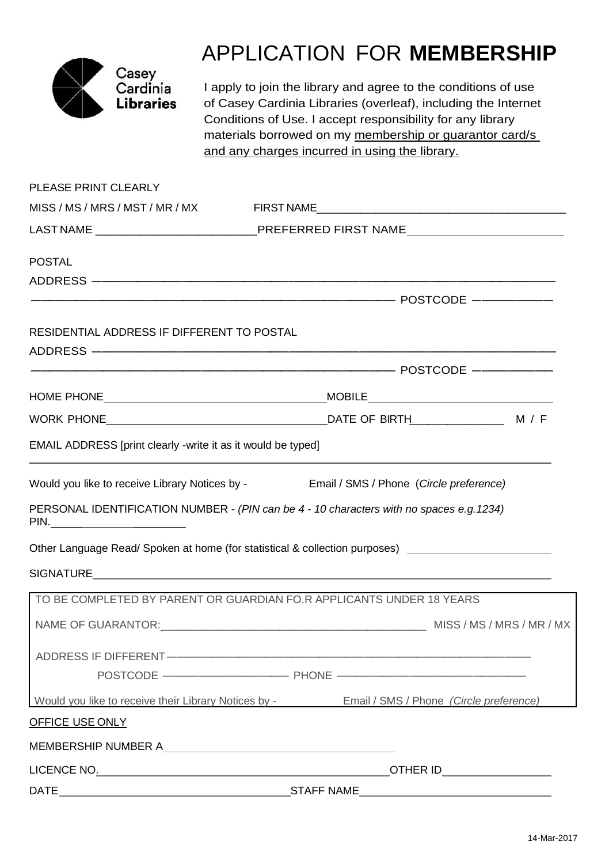

# APPLICATION FOR **MEMBERSHIP**

I apply to join the library and agree to the conditions of use of Casey Cardinia Libraries (overleaf), including the Internet Conditions of Use. I accept responsibility for any library materials borrowed on my membership or guarantor card/s and any charges incurred in using the library.

| PLEASE PRINT CLEARLY                                         |                                                                                                                                                                                                                               |  |
|--------------------------------------------------------------|-------------------------------------------------------------------------------------------------------------------------------------------------------------------------------------------------------------------------------|--|
| MISS / MS / MRS / MST / MR / MX                              |                                                                                                                                                                                                                               |  |
|                                                              |                                                                                                                                                                                                                               |  |
| <b>POSTAL</b>                                                |                                                                                                                                                                                                                               |  |
|                                                              |                                                                                                                                                                                                                               |  |
|                                                              | <u>POSTCODE</u>                                                                                                                                                                                                               |  |
| RESIDENTIAL ADDRESS IF DIFFERENT TO POSTAL                   |                                                                                                                                                                                                                               |  |
|                                                              |                                                                                                                                                                                                                               |  |
|                                                              | POSTCODE AND ARRIVED A REPORT OF THE POSTCODE AND A REPORT OF THE SECTION OF THE SECTION OF THE SECTION OF THE                                                                                                                |  |
|                                                              |                                                                                                                                                                                                                               |  |
|                                                              |                                                                                                                                                                                                                               |  |
| EMAIL ADDRESS [print clearly -write it as it would be typed] |                                                                                                                                                                                                                               |  |
|                                                              | Would you like to receive Library Notices by - Fmail / SMS / Phone (Circle preference)                                                                                                                                        |  |
|                                                              | PERSONAL IDENTIFICATION NUMBER - (PIN can be 4 - 10 characters with no spaces e.g. 1234)                                                                                                                                      |  |
|                                                              | Other Language Read/ Spoken at home (for statistical & collection purposes) ________________________                                                                                                                          |  |
|                                                              |                                                                                                                                                                                                                               |  |
|                                                              | TO BE COMPLETED BY PARENT OR GUARDIAN FO.R APPLICANTS UNDER 18 YEARS                                                                                                                                                          |  |
|                                                              | NAME OF GUARANTOR: NAME OF GUARANTOR SALE AND STRING ASSESS AND MISS AND MISS AND MISS AND MISS AND MISS AND MISS AND MISS AND MISS AND MISS AND MISS AND MISS AND MISS AND MISS AND MISS AND MISS AND MISS AND MISS AND MISS |  |
|                                                              |                                                                                                                                                                                                                               |  |
|                                                              |                                                                                                                                                                                                                               |  |
|                                                              | Would you like to receive their Library Notices by - Email / SMS / Phone (Circle preference)                                                                                                                                  |  |
| <b>OFFICE USE ONLY</b>                                       |                                                                                                                                                                                                                               |  |
|                                                              |                                                                                                                                                                                                                               |  |
|                                                              |                                                                                                                                                                                                                               |  |
| DATE                                                         | <b>STAFF NAME</b>                                                                                                                                                                                                             |  |